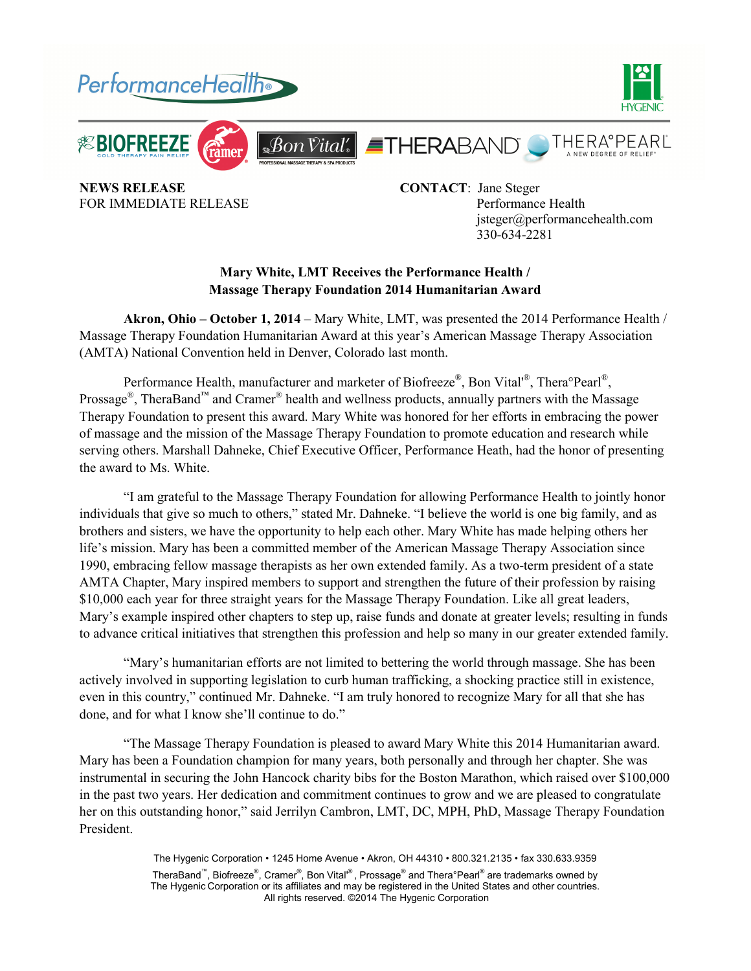

**NEWS RELEASE** CONTACT: Jane Steger

FOR IMMEDIATE RELEASE Performance Health jsteger@performancehealth.com 330-634-2281

## **Mary White, LMT Receives the Performance Health / Massage Therapy Foundation 2014 Humanitarian Award**

**Akron, Ohio – October 1, 2014** – Mary White, LMT, was presented the 2014 Performance Health / Massage Therapy Foundation Humanitarian Award at this year's American Massage Therapy Association (AMTA) National Convention held in Denver, Colorado last month.

Performance Health, manufacturer and marketer of Biofreeze®, Bon Vital<sup>®</sup>, Thera°Pearl<sup>®</sup>, Prossage<sup>®</sup>, TheraBand<sup>™</sup> and Cramer<sup>®</sup> health and wellness products, annually partners with the Massage Therapy Foundation to present this award. Mary White was honored for her efforts in embracing the power of massage and the mission of the Massage Therapy Foundation to promote education and research while serving others. Marshall Dahneke, Chief Executive Officer, Performance Heath, had the honor of presenting the award to Ms. White.

 "I am grateful to the Massage Therapy Foundation for allowing Performance Health to jointly honor individuals that give so much to others," stated Mr. Dahneke. "I believe the world is one big family, and as brothers and sisters, we have the opportunity to help each other. Mary White has made helping others her life's mission. Mary has been a committed member of the American Massage Therapy Association since 1990, embracing fellow massage therapists as her own extended family. As a two-term president of a state AMTA Chapter, Mary inspired members to support and strengthen the future of their profession by raising \$10,000 each year for three straight years for the Massage Therapy Foundation. Like all great leaders, Mary's example inspired other chapters to step up, raise funds and donate at greater levels; resulting in funds to advance critical initiatives that strengthen this profession and help so many in our greater extended family.

 "Mary's humanitarian efforts are not limited to bettering the world through massage. She has been actively involved in supporting legislation to curb human trafficking, a shocking practice still in existence, even in this country," continued Mr. Dahneke. "I am truly honored to recognize Mary for all that she has done, and for what I know she'll continue to do."

 "The Massage Therapy Foundation is pleased to award Mary White this 2014 Humanitarian award. Mary has been a Foundation champion for many years, both personally and through her chapter. She was instrumental in securing the John Hancock charity bibs for the Boston Marathon, which raised over \$100,000 in the past two years. Her dedication and commitment continues to grow and we are pleased to congratulate her on this outstanding honor," said Jerrilyn Cambron, LMT, DC, MPH, PhD, Massage Therapy Foundation President.

> The Hygenic Corporation • 1245 Home Avenue • Akron, OH 44310 • 800.321.2135 • fax 330.633.9359 TheraBand™, Biofreeze®, Cramer®, Bon Vital'®, Prossage® and Thera°Pearl® are trademarks owned by The Hygenic Corporation or its affiliates and may be registered in the United States and other countries. All rights reserved. ©2014 The Hygenic Corporation